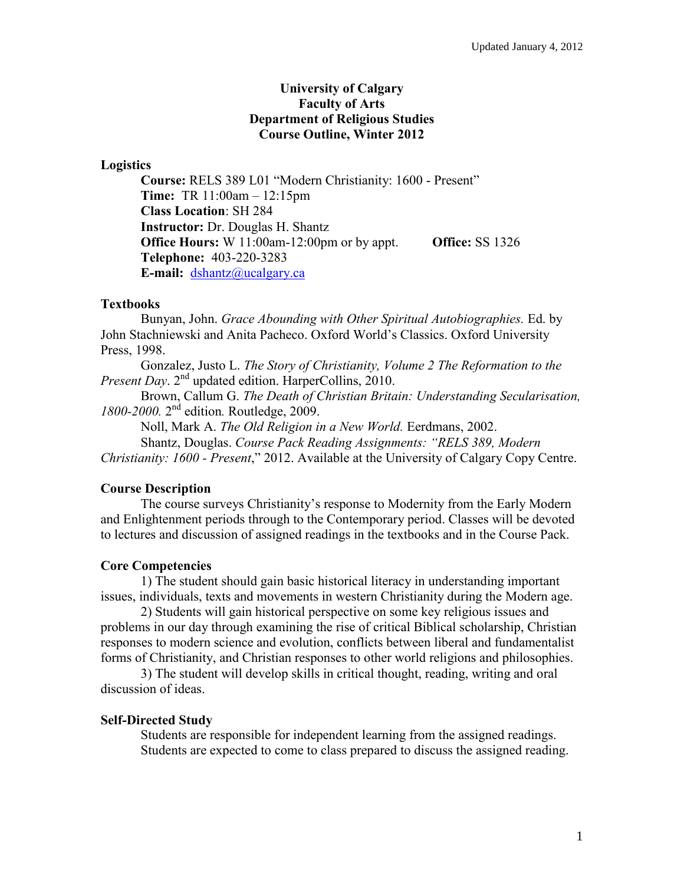## **University of Calgary Faculty of Arts Department of Religious Studies Course Outline, Winter 2012**

### **Logistics**

**Course:** RELS 389 L01 "Modern Christianity: 1600 - Present" **Time:** TR 11:00am – 12:15pm **Class Location**: SH 284 **Instructor:** Dr. Douglas H. Shantz **Office Hours:** W 11:00am-12:00pm or by appt. **Office:** SS 1326 **Telephone:** 403-220-3283 **E-mail:** [dshantz@ucalgary.ca](mailto:dshantz@ucalgary.ca)

### **Textbooks**

Bunyan, John. *Grace Abounding with Other Spiritual Autobiographies.* Ed. by John Stachniewski and Anita Pacheco. Oxford World's Classics. Oxford University Press, 1998.

Gonzalez, Justo L. *The Story of Christianity, Volume 2 The Reformation to the Present Day.* 2<sup>nd</sup> updated edition. HarperCollins, 2010.

Brown, Callum G. *The Death of Christian Britain: Understanding Secularisation, 1800-2000.* 2<sup>nd</sup> edition. Routledge, 2009.

Noll, Mark A. *The Old Religion in a New World.* Eerdmans, 2002.

Shantz, Douglas. *Course Pack Reading Assignments: "RELS 389, Modern Christianity: 1600 - Present*," 2012. Available at the University of Calgary Copy Centre.

### **Course Description**

The course surveys Christianity's response to Modernity from the Early Modern and Enlightenment periods through to the Contemporary period. Classes will be devoted to lectures and discussion of assigned readings in the textbooks and in the Course Pack.

### **Core Competencies**

1) The student should gain basic historical literacy in understanding important issues, individuals, texts and movements in western Christianity during the Modern age.

2) Students will gain historical perspective on some key religious issues and problems in our day through examining the rise of critical Biblical scholarship, Christian responses to modern science and evolution, conflicts between liberal and fundamentalist forms of Christianity, and Christian responses to other world religions and philosophies.

3) The student will develop skills in critical thought, reading, writing and oral discussion of ideas.

### **Self-Directed Study**

Students are responsible for independent learning from the assigned readings. Students are expected to come to class prepared to discuss the assigned reading.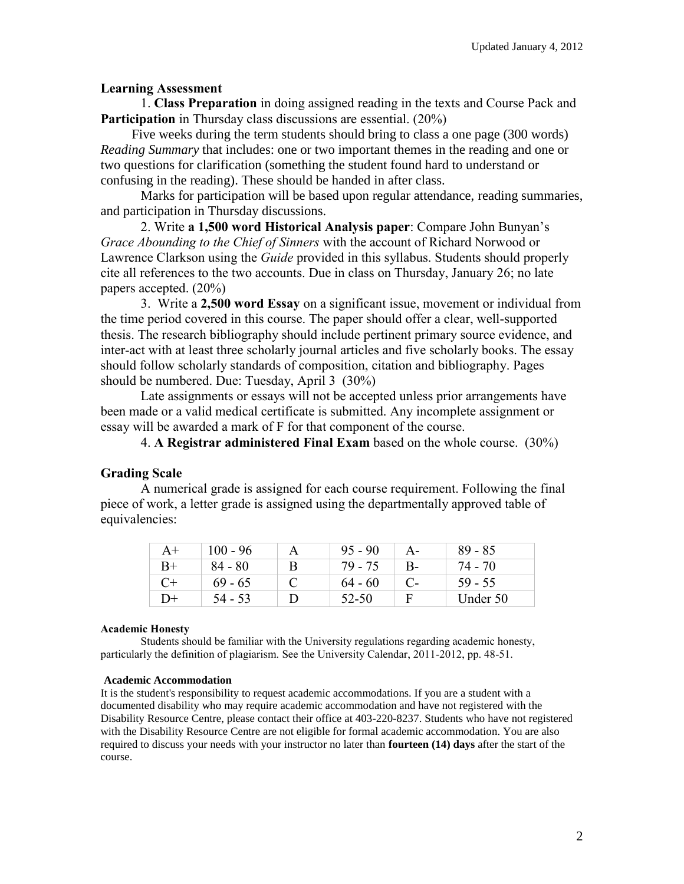## **Learning Assessment**

1. **Class Preparation** in doing assigned reading in the texts and Course Pack and **Participation** in Thursday class discussions are essential. (20%)

Five weeks during the term students should bring to class a one page (300 words) *Reading Summary* that includes: one or two important themes in the reading and one or two questions for clarification (something the student found hard to understand or confusing in the reading). These should be handed in after class.

Marks for participation will be based upon regular attendance, reading summaries, and participation in Thursday discussions.

2. Write **a 1,500 word Historical Analysis paper**: Compare John Bunyan's *Grace Abounding to the Chief of Sinners* with the account of Richard Norwood or Lawrence Clarkson using the *Guide* provided in this syllabus. Students should properly cite all references to the two accounts. Due in class on Thursday, January 26; no late papers accepted. (20%)

3. Write a **2,500 word Essay** on a significant issue, movement or individual from the time period covered in this course. The paper should offer a clear, well-supported thesis. The research bibliography should include pertinent primary source evidence, and inter-act with at least three scholarly journal articles and five scholarly books. The essay should follow scholarly standards of composition, citation and bibliography. Pages should be numbered. Due: Tuesday, April 3 (30%)

Late assignments or essays will not be accepted unless prior arrangements have been made or a valid medical certificate is submitted. Any incomplete assignment or essay will be awarded a mark of F for that component of the course.

4. **A Registrar administered Final Exam** based on the whole course. (30%)

## **Grading Scale**

A numerical grade is assigned for each course requirement. Following the final piece of work, a letter grade is assigned using the departmentally approved table of equivalencies:

| $A+$ | 100 - 96  | A        | $95 - 90$ | $A -$ | $89 - 85$ |
|------|-----------|----------|-----------|-------|-----------|
| $B+$ | $84 - 80$ | B        | 79 - 75   | $B -$ | 74 - 70   |
| C+   | $69 - 65$ | $\Gamma$ | $64 - 60$ |       | $59 - 55$ |
| D+   | $54 - 53$ |          | 52-50     | F     | Under 50  |

### **Academic Honesty**

Students should be familiar with the University regulations regarding academic honesty, particularly the definition of plagiarism. See the University Calendar, 2011-2012, pp. 48-51.

### **Academic Accommodation**

It is the student's responsibility to request academic accommodations. If you are a student with a documented disability who may require academic accommodation and have not registered with the Disability Resource Centre, please contact their office at 403-220-8237. Students who have not registered with the Disability Resource Centre are not eligible for formal academic accommodation. You are also required to discuss your needs with your instructor no later than **fourteen (14) days** after the start of the course.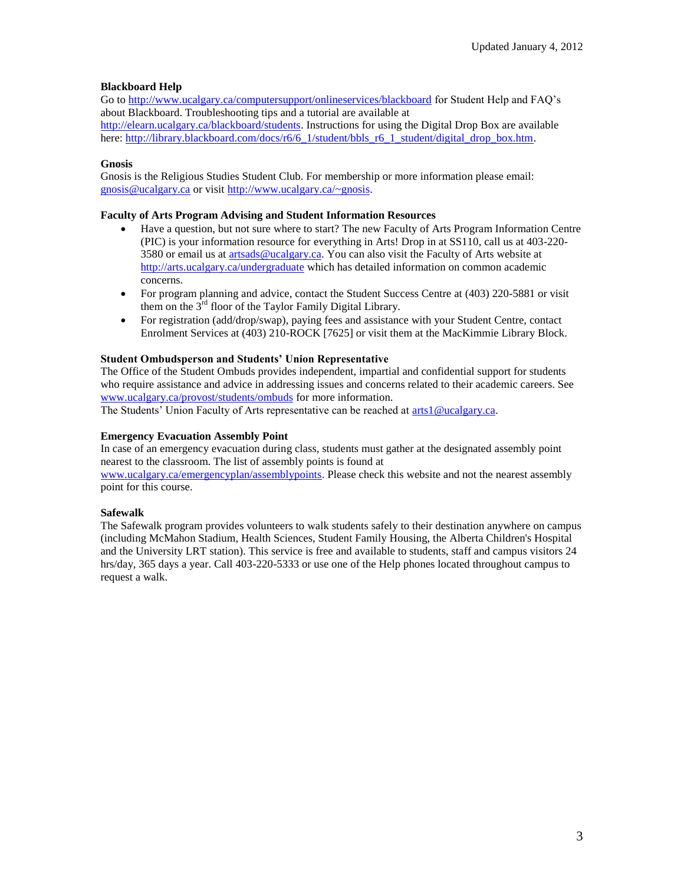### **Blackboard Help**

Go to<http://www.ucalgary.ca/computersupport/onlineservices/blackboard> for Student Help and FAQ's about Blackboard. Troubleshooting tips and a tutorial are available at [http://elearn.ucalgary.ca/blackboard/students.](http://elearn.ucalgary.ca/blackboard/students) Instructions for using the Digital Drop Box are available here: [http://library.blackboard.com/docs/r6/6\\_1/student/bbls\\_r6\\_1\\_student/digital\\_drop\\_box.htm.](http://library.blackboard.com/docs/r6/6_1/student/bbls_r6_1_student/digital_drop_box.htm)

#### **Gnosis**

Gnosis is the Religious Studies Student Club. For membership or more information please email: gnosis@ucalgary.ca or visit [http://www.ucalgary.ca/~gnosis.](http://www.ucalgary.ca/~gnosis)

#### **Faculty of Arts Program Advising and Student Information Resources**

- Have a question, but not sure where to start? The new Faculty of Arts Program Information Centre (PIC) is your information resource for everything in Arts! Drop in at SS110, call us at 403-220 3580 or email us at [artsads@ucalgary.ca.](mailto:artsads@ucalgary.ca) You can also visit the Faculty of Arts website at <http://arts.ucalgary.ca/undergraduate> which has detailed information on common academic concerns.
- For program planning and advice, contact the Student Success Centre at (403) 220-5881 or visit them on the  $3<sup>rd</sup>$  floor of the Taylor Family Digital Library.
- For registration (add/drop/swap), paying fees and assistance with your Student Centre, contact Enrolment Services at (403) 210-ROCK [7625] or visit them at the MacKimmie Library Block.

#### **Student Ombudsperson and Students' Union Representative**

The Office of the Student Ombuds provides independent, impartial and confidential support for students who require assistance and advice in addressing issues and concerns related to their academic careers. See [www.ucalgary.ca/provost/students/ombuds](http://www.ucalgary.ca/provost/students/ombuds) for more information.

The Students' Union Faculty of Arts representative can be reached at [arts1@ucalgary.ca.](mailto:arts1@ucalgary.ca)

#### **Emergency Evacuation Assembly Point**

In case of an emergency evacuation during class, students must gather at the designated assembly point nearest to the classroom. The list of assembly points is found at

[www.ucalgary.ca/emergencyplan/assemblypoints.](http://www.ucalgary.ca/emergencyplan/assemblypoints) Please check this website and not the nearest assembly point for this course.

#### **Safewalk**

The Safewalk program provides volunteers to walk students safely to their destination anywhere on campus (including McMahon Stadium, Health Sciences, Student Family Housing, the Alberta Children's Hospital and the University LRT station). This service is free and available to students, staff and campus visitors 24 hrs/day, 365 days a year. Call 403-220-5333 or use one of the Help phones located throughout campus to request a walk.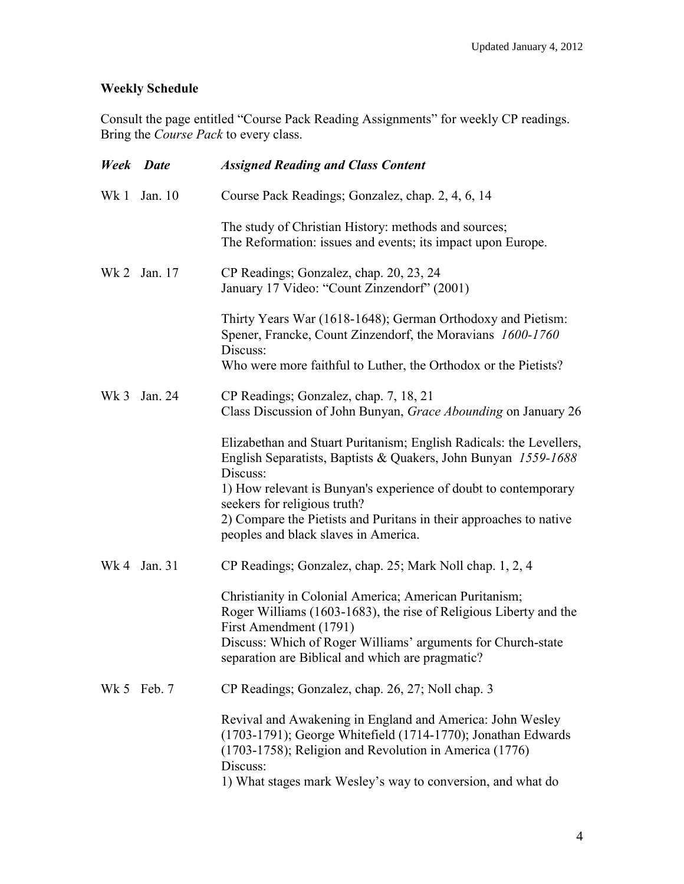# **Weekly Schedule**

Consult the page entitled "Course Pack Reading Assignments" for weekly CP readings. Bring the *Course Pack* to every class.

| <b>Week</b> Date |              | <b>Assigned Reading and Class Content</b>                                                                                                                                                                |
|------------------|--------------|----------------------------------------------------------------------------------------------------------------------------------------------------------------------------------------------------------|
| Wk1              | Jan. 10      | Course Pack Readings; Gonzalez, chap. 2, 4, 6, 14                                                                                                                                                        |
|                  |              | The study of Christian History: methods and sources;<br>The Reformation: issues and events; its impact upon Europe.                                                                                      |
|                  | Wk 2 Jan. 17 | CP Readings; Gonzalez, chap. 20, 23, 24<br>January 17 Video: "Count Zinzendorf" (2001)                                                                                                                   |
|                  |              | Thirty Years War (1618-1648); German Orthodoxy and Pietism:<br>Spener, Francke, Count Zinzendorf, the Moravians 1600-1760<br>Discuss:<br>Who were more faithful to Luther, the Orthodox or the Pietists? |
|                  |              |                                                                                                                                                                                                          |
| Wk <sub>3</sub>  | Jan. 24      | CP Readings; Gonzalez, chap. 7, 18, 21<br>Class Discussion of John Bunyan, Grace Abounding on January 26                                                                                                 |
|                  |              | Elizabethan and Stuart Puritanism; English Radicals: the Levellers,<br>English Separatists, Baptists & Quakers, John Bunyan 1559-1688<br>Discuss:                                                        |
|                  |              | 1) How relevant is Bunyan's experience of doubt to contemporary<br>seekers for religious truth?<br>2) Compare the Pietists and Puritans in their approaches to native                                    |
|                  |              | peoples and black slaves in America.                                                                                                                                                                     |
|                  | Wk 4 Jan. 31 | CP Readings; Gonzalez, chap. 25; Mark Noll chap. 1, 2, 4                                                                                                                                                 |
|                  |              | Christianity in Colonial America; American Puritanism;<br>Roger Williams (1603-1683), the rise of Religious Liberty and the<br>First Amendment (1791)                                                    |
|                  |              | Discuss: Which of Roger Williams' arguments for Church-state<br>separation are Biblical and which are pragmatic?                                                                                         |
|                  | Wk 5 Feb. 7  | CP Readings; Gonzalez, chap. 26, 27; Noll chap. 3                                                                                                                                                        |
|                  |              | Revival and Awakening in England and America: John Wesley<br>$(1703-1791)$ ; George Whitefield $(1714-1770)$ ; Jonathan Edwards<br>(1703-1758); Religion and Revolution in America (1776)<br>Discuss:    |
|                  |              | 1) What stages mark Wesley's way to conversion, and what do                                                                                                                                              |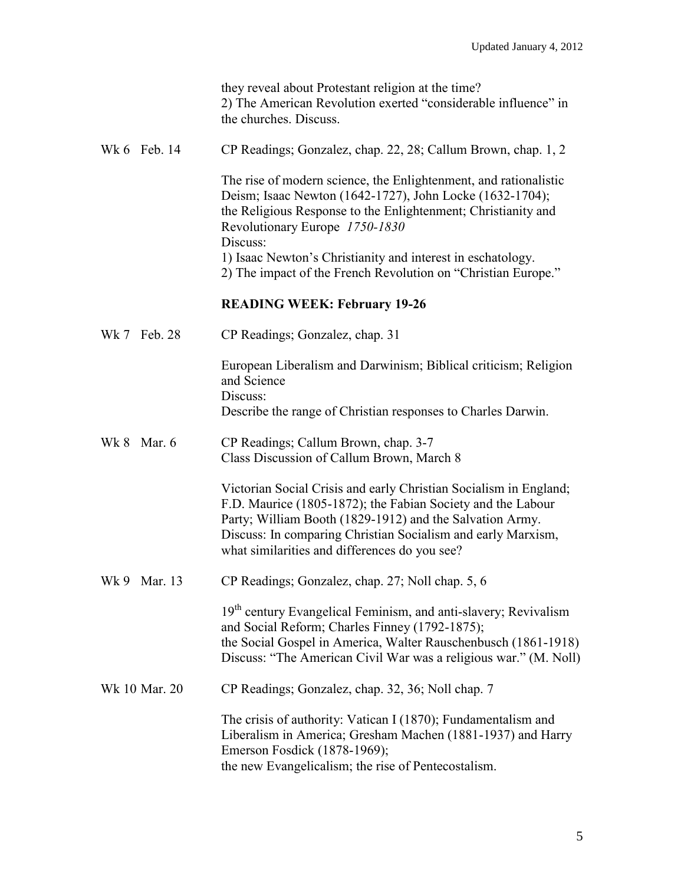|                | they reveal about Protestant religion at the time?<br>2) The American Revolution exerted "considerable influence" in<br>the churches. Discuss.                                                                                                                                                                |
|----------------|---------------------------------------------------------------------------------------------------------------------------------------------------------------------------------------------------------------------------------------------------------------------------------------------------------------|
| Wk 6 Feb. 14   | CP Readings; Gonzalez, chap. 22, 28; Callum Brown, chap. 1, 2                                                                                                                                                                                                                                                 |
|                | The rise of modern science, the Enlightenment, and rationalistic<br>Deism; Isaac Newton (1642-1727), John Locke (1632-1704);<br>the Religious Response to the Enlightenment; Christianity and<br>Revolutionary Europe 1750-1830<br>Discuss:<br>1) Isaac Newton's Christianity and interest in eschatology.    |
|                | 2) The impact of the French Revolution on "Christian Europe."                                                                                                                                                                                                                                                 |
|                | <b>READING WEEK: February 19-26</b>                                                                                                                                                                                                                                                                           |
| Wk 7 Feb. 28   | CP Readings; Gonzalez, chap. 31                                                                                                                                                                                                                                                                               |
|                | European Liberalism and Darwinism; Biblical criticism; Religion<br>and Science<br>Discuss:                                                                                                                                                                                                                    |
|                | Describe the range of Christian responses to Charles Darwin.                                                                                                                                                                                                                                                  |
| Mar. 6<br>Wk 8 | CP Readings; Callum Brown, chap. 3-7<br>Class Discussion of Callum Brown, March 8                                                                                                                                                                                                                             |
|                | Victorian Social Crisis and early Christian Socialism in England;<br>F.D. Maurice (1805-1872); the Fabian Society and the Labour<br>Party; William Booth (1829-1912) and the Salvation Army.<br>Discuss: In comparing Christian Socialism and early Marxism,<br>what similarities and differences do you see? |
| Wk 9 Mar. 13   | CP Readings; Gonzalez, chap. 27; Noll chap. 5, 6                                                                                                                                                                                                                                                              |
|                | 19 <sup>th</sup> century Evangelical Feminism, and anti-slavery; Revivalism<br>and Social Reform; Charles Finney (1792-1875);<br>the Social Gospel in America, Walter Rauschenbusch (1861-1918)<br>Discuss: "The American Civil War was a religious war." (M. Noll)                                           |
| Wk 10 Mar. 20  | CP Readings; Gonzalez, chap. 32, 36; Noll chap. 7                                                                                                                                                                                                                                                             |
|                | The crisis of authority: Vatican I (1870); Fundamentalism and<br>Liberalism in America; Gresham Machen (1881-1937) and Harry<br>Emerson Fosdick (1878-1969);<br>the new Evangelicalism; the rise of Pentecostalism.                                                                                           |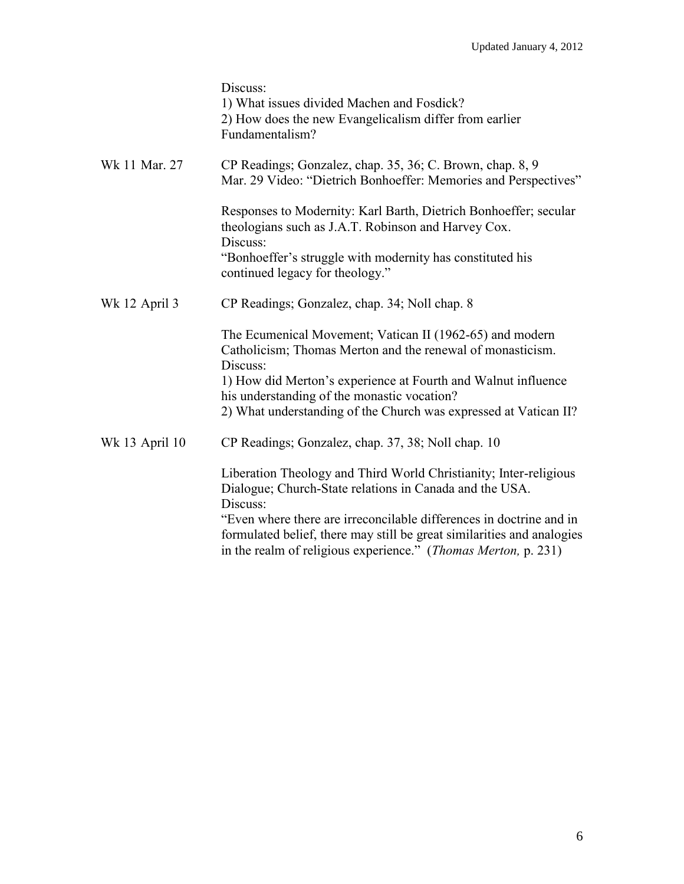|                | Discuss:<br>1) What issues divided Machen and Fosdick?<br>2) How does the new Evangelicalism differ from earlier<br>Fundamentalism?                                                                                                                                                       |
|----------------|-------------------------------------------------------------------------------------------------------------------------------------------------------------------------------------------------------------------------------------------------------------------------------------------|
| Wk 11 Mar. 27  | CP Readings; Gonzalez, chap. 35, 36; C. Brown, chap. 8, 9<br>Mar. 29 Video: "Dietrich Bonhoeffer: Memories and Perspectives"                                                                                                                                                              |
|                | Responses to Modernity: Karl Barth, Dietrich Bonhoeffer; secular<br>theologians such as J.A.T. Robinson and Harvey Cox.<br>Discuss:                                                                                                                                                       |
|                | "Bonhoeffer's struggle with modernity has constituted his<br>continued legacy for theology."                                                                                                                                                                                              |
| Wk 12 April 3  | CP Readings; Gonzalez, chap. 34; Noll chap. 8                                                                                                                                                                                                                                             |
|                | The Ecumenical Movement; Vatican II (1962-65) and modern<br>Catholicism; Thomas Merton and the renewal of monasticism.<br>Discuss:                                                                                                                                                        |
|                | 1) How did Merton's experience at Fourth and Walnut influence<br>his understanding of the monastic vocation?                                                                                                                                                                              |
|                | 2) What understanding of the Church was expressed at Vatican II?                                                                                                                                                                                                                          |
| Wk 13 April 10 | CP Readings; Gonzalez, chap. 37, 38; Noll chap. 10                                                                                                                                                                                                                                        |
|                | Liberation Theology and Third World Christianity; Inter-religious<br>Dialogue; Church-State relations in Canada and the USA.<br>Discuss:<br>"Even where there are irreconcilable differences in doctrine and in<br>formulated belief, there may still be great similarities and analogies |
|                | in the realm of religious experience." (Thomas Merton, p. 231)                                                                                                                                                                                                                            |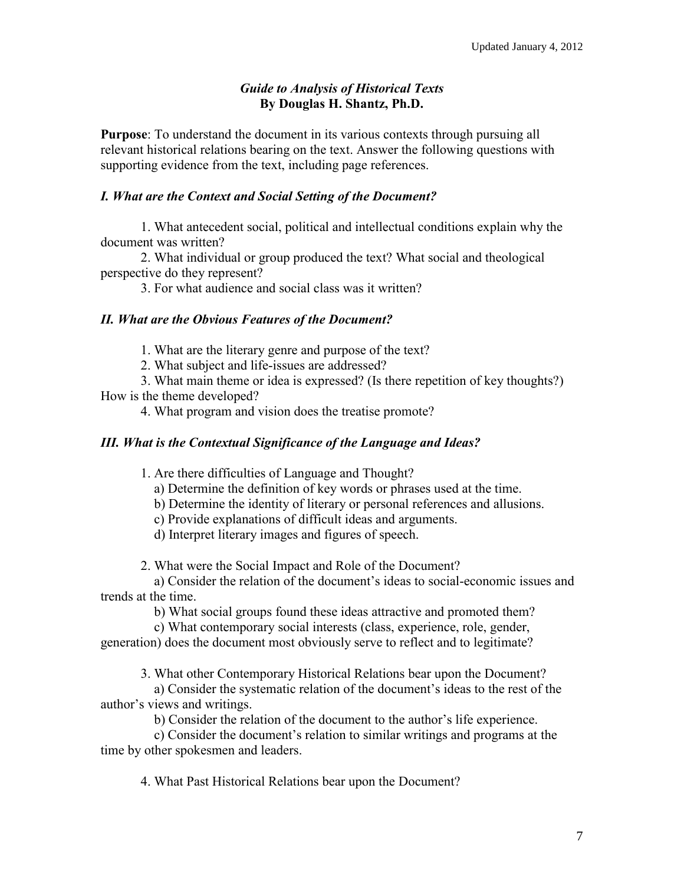## *Guide to Analysis of Historical Texts* **By Douglas H. Shantz, Ph.D.**

**Purpose**: To understand the document in its various contexts through pursuing all relevant historical relations bearing on the text. Answer the following questions with supporting evidence from the text, including page references.

## *I. What are the Context and Social Setting of the Document?*

1. What antecedent social, political and intellectual conditions explain why the document was written?

2. What individual or group produced the text? What social and theological perspective do they represent?

3. For what audience and social class was it written?

## *II. What are the Obvious Features of the Document?*

1. What are the literary genre and purpose of the text?

2. What subject and life-issues are addressed?

3. What main theme or idea is expressed? (Is there repetition of key thoughts?) How is the theme developed?

4. What program and vision does the treatise promote?

## *III. What is the Contextual Significance of the Language and Ideas?*

1. Are there difficulties of Language and Thought?

a) Determine the definition of key words or phrases used at the time.

b) Determine the identity of literary or personal references and allusions.

c) Provide explanations of difficult ideas and arguments.

d) Interpret literary images and figures of speech.

2. What were the Social Impact and Role of the Document?

a) Consider the relation of the document's ideas to social-economic issues and trends at the time.

b) What social groups found these ideas attractive and promoted them?

c) What contemporary social interests (class, experience, role, gender,

generation) does the document most obviously serve to reflect and to legitimate?

3. What other Contemporary Historical Relations bear upon the Document?

 a) Consider the systematic relation of the document's ideas to the rest of the author's views and writings.

b) Consider the relation of the document to the author's life experience.

 c) Consider the document's relation to similar writings and programs at the time by other spokesmen and leaders.

4. What Past Historical Relations bear upon the Document?